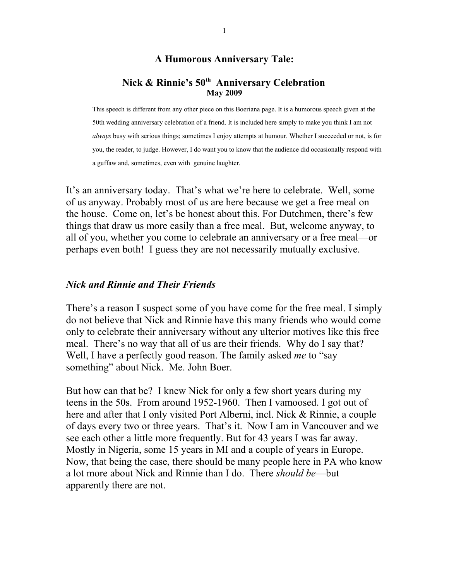#### **A Humorous Anniversary Tale:**

#### **Nick & Rinnie's 50th Anniversary Celebration May 2009**

This speech is different from any other piece on this Boeriana page. It is a humorous speech given at the 50th wedding anniversary celebration of a friend. It is included here simply to make you think I am not *always* busy with serious things; sometimes I enjoy attempts at humour. Whether I succeeded or not, is for you, the reader, to judge. However, I do want you to know that the audience did occasionally respond with a guffaw and, sometimes, even with genuine laughter.

It's an anniversary today. That's what we're here to celebrate. Well, some of us anyway. Probably most of us are here because we get a free meal on the house. Come on, let's be honest about this. For Dutchmen, there's few things that draw us more easily than a free meal. But, welcome anyway, to all of you, whether you come to celebrate an anniversary or a free meal—or perhaps even both! I guess they are not necessarily mutually exclusive.

#### *Nick and Rinnie and Their Friends*

There's a reason I suspect some of you have come for the free meal. I simply do not believe that Nick and Rinnie have this many friends who would come only to celebrate their anniversary without any ulterior motives like this free meal. There's no way that all of us are their friends. Why do I say that? Well, I have a perfectly good reason. The family asked *me* to "say something" about Nick. Me. John Boer.

But how can that be? I knew Nick for only a few short years during my teens in the 50s. From around 1952-1960. Then I vamoosed. I got out of here and after that I only visited Port Alberni, incl. Nick & Rinnie, a couple of days every two or three years. That's it. Now I am in Vancouver and we see each other a little more frequently. But for 43 years I was far away. Mostly in Nigeria, some 15 years in MI and a couple of years in Europe. Now, that being the case, there should be many people here in PA who know a lot more about Nick and Rinnie than I do. There *should be*—but apparently there are not.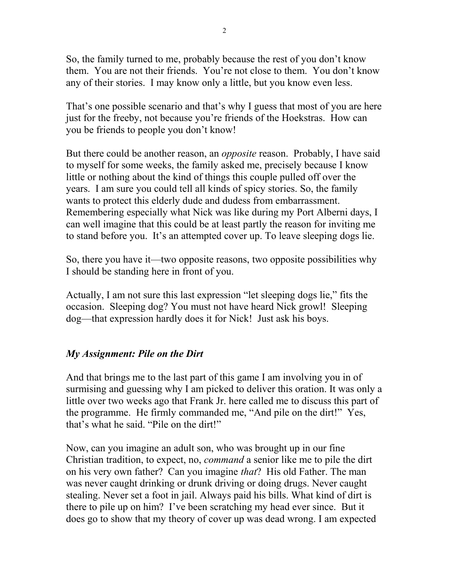So, the family turned to me, probably because the rest of you don't know them. You are not their friends. You're not close to them. You don't know any of their stories. I may know only a little, but you know even less.

That's one possible scenario and that's why I guess that most of you are here just for the freeby, not because you're friends of the Hoekstras. How can you be friends to people you don't know!

But there could be another reason, an *opposite* reason. Probably, I have said to myself for some weeks, the family asked me, precisely because I know little or nothing about the kind of things this couple pulled off over the years. I am sure you could tell all kinds of spicy stories. So, the family wants to protect this elderly dude and dudess from embarrassment. Remembering especially what Nick was like during my Port Alberni days, I can well imagine that this could be at least partly the reason for inviting me to stand before you. It's an attempted cover up. To leave sleeping dogs lie.

So, there you have it—two opposite reasons, two opposite possibilities why I should be standing here in front of you.

Actually, I am not sure this last expression "let sleeping dogs lie," fits the occasion. Sleeping dog? You must not have heard Nick growl! Sleeping dog—that expression hardly does it for Nick! Just ask his boys.

# *My Assignment: Pile on the Dirt*

And that brings me to the last part of this game I am involving you in of surmising and guessing why I am picked to deliver this oration. It was only a little over two weeks ago that Frank Jr. here called me to discuss this part of the programme. He firmly commanded me, "And pile on the dirt!" Yes, that's what he said. "Pile on the dirt!"

Now, can you imagine an adult son, who was brought up in our fine Christian tradition, to expect, no, *command* a senior like me to pile the dirt on his very own father? Can you imagine *that*? His old Father. The man was never caught drinking or drunk driving or doing drugs. Never caught stealing. Never set a foot in jail. Always paid his bills. What kind of dirt is there to pile up on him? I've been scratching my head ever since. But it does go to show that my theory of cover up was dead wrong. I am expected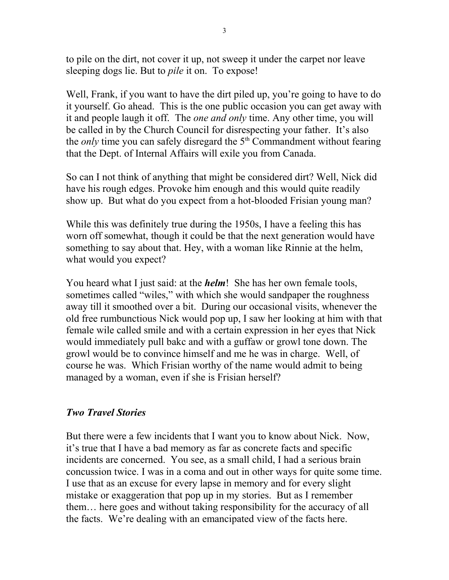to pile on the dirt, not cover it up, not sweep it under the carpet nor leave sleeping dogs lie. But to *pile* it on. To expose!

Well, Frank, if you want to have the dirt piled up, you're going to have to do it yourself. Go ahead. This is the one public occasion you can get away with it and people laugh it off. The *one and only* time. Any other time, you will be called in by the Church Council for disrespecting your father. It's also the *only* time you can safely disregard the 5<sup>th</sup> Commandment without fearing that the Dept. of Internal Affairs will exile you from Canada.

So can I not think of anything that might be considered dirt? Well, Nick did have his rough edges. Provoke him enough and this would quite readily show up. But what do you expect from a hot-blooded Frisian young man?

While this was definitely true during the 1950s, I have a feeling this has worn off somewhat, though it could be that the next generation would have something to say about that. Hey, with a woman like Rinnie at the helm, what would you expect?

You heard what I just said: at the *helm*! She has her own female tools, sometimes called "wiles," with which she would sandpaper the roughness away till it smoothed over a bit. During our occasional visits, whenever the old free rumbunctious Nick would pop up, I saw her looking at him with that female wile called smile and with a certain expression in her eyes that Nick would immediately pull bakc and with a guffaw or growl tone down. The growl would be to convince himself and me he was in charge. Well, of course he was. Which Frisian worthy of the name would admit to being managed by a woman, even if she is Frisian herself?

## *Two Travel Stories*

But there were a few incidents that I want you to know about Nick. Now, it's true that I have a bad memory as far as concrete facts and specific incidents are concerned. You see, as a small child, I had a serious brain concussion twice. I was in a coma and out in other ways for quite some time. I use that as an excuse for every lapse in memory and for every slight mistake or exaggeration that pop up in my stories. But as I remember them… here goes and without taking responsibility for the accuracy of all the facts. We're dealing with an emancipated view of the facts here.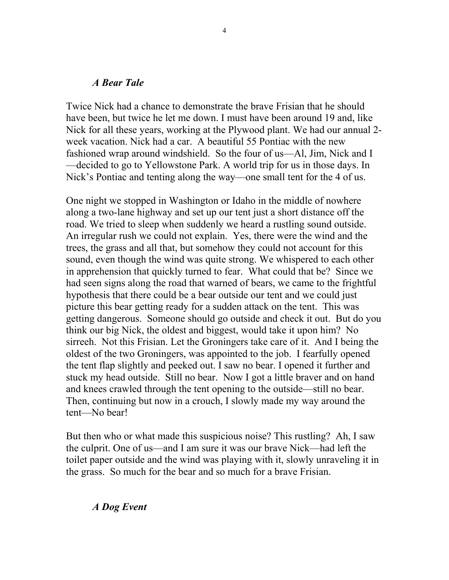#### *A Bear Tale*

Twice Nick had a chance to demonstrate the brave Frisian that he should have been, but twice he let me down. I must have been around 19 and, like Nick for all these years, working at the Plywood plant. We had our annual 2 week vacation. Nick had a car. A beautiful 55 Pontiac with the new fashioned wrap around windshield. So the four of us—Al, Jim, Nick and I —decided to go to Yellowstone Park. A world trip for us in those days. In Nick's Pontiac and tenting along the way—one small tent for the 4 of us.

One night we stopped in Washington or Idaho in the middle of nowhere along a two-lane highway and set up our tent just a short distance off the road. We tried to sleep when suddenly we heard a rustling sound outside. An irregular rush we could not explain. Yes, there were the wind and the trees, the grass and all that, but somehow they could not account for this sound, even though the wind was quite strong. We whispered to each other in apprehension that quickly turned to fear. What could that be? Since we had seen signs along the road that warned of bears, we came to the frightful hypothesis that there could be a bear outside our tent and we could just picture this bear getting ready for a sudden attack on the tent. This was getting dangerous. Someone should go outside and check it out. But do you think our big Nick, the oldest and biggest, would take it upon him? No sirreeh. Not this Frisian. Let the Groningers take care of it. And I being the oldest of the two Groningers, was appointed to the job. I fearfully opened the tent flap slightly and peeked out. I saw no bear. I opened it further and stuck my head outside. Still no bear. Now I got a little braver and on hand and knees crawled through the tent opening to the outside—still no bear. Then, continuing but now in a crouch, I slowly made my way around the tent—No bear!

But then who or what made this suspicious noise? This rustling? Ah, I saw the culprit. One of us—and I am sure it was our brave Nick—had left the toilet paper outside and the wind was playing with it, slowly unraveling it in the grass. So much for the bear and so much for a brave Frisian.

### *A Dog Event*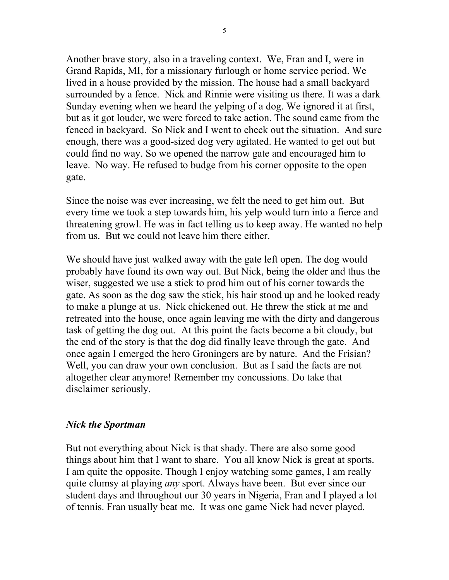Another brave story, also in a traveling context. We, Fran and I, were in Grand Rapids, MI, for a missionary furlough or home service period. We lived in a house provided by the mission. The house had a small backyard surrounded by a fence. Nick and Rinnie were visiting us there. It was a dark Sunday evening when we heard the yelping of a dog. We ignored it at first, but as it got louder, we were forced to take action. The sound came from the fenced in backyard. So Nick and I went to check out the situation. And sure enough, there was a good-sized dog very agitated. He wanted to get out but could find no way. So we opened the narrow gate and encouraged him to leave. No way. He refused to budge from his corner opposite to the open gate.

Since the noise was ever increasing, we felt the need to get him out. But every time we took a step towards him, his yelp would turn into a fierce and threatening growl. He was in fact telling us to keep away. He wanted no help from us. But we could not leave him there either.

We should have just walked away with the gate left open. The dog would probably have found its own way out. But Nick, being the older and thus the wiser, suggested we use a stick to prod him out of his corner towards the gate. As soon as the dog saw the stick, his hair stood up and he looked ready to make a plunge at us. Nick chickened out. He threw the stick at me and retreated into the house, once again leaving me with the dirty and dangerous task of getting the dog out. At this point the facts become a bit cloudy, but the end of the story is that the dog did finally leave through the gate. And once again I emerged the hero Groningers are by nature. And the Frisian? Well, you can draw your own conclusion. But as I said the facts are not altogether clear anymore! Remember my concussions. Do take that disclaimer seriously.

### *Nick the Sportman*

But not everything about Nick is that shady. There are also some good things about him that I want to share. You all know Nick is great at sports. I am quite the opposite. Though I enjoy watching some games, I am really quite clumsy at playing *any* sport. Always have been. But ever since our student days and throughout our 30 years in Nigeria, Fran and I played a lot of tennis. Fran usually beat me. It was one game Nick had never played.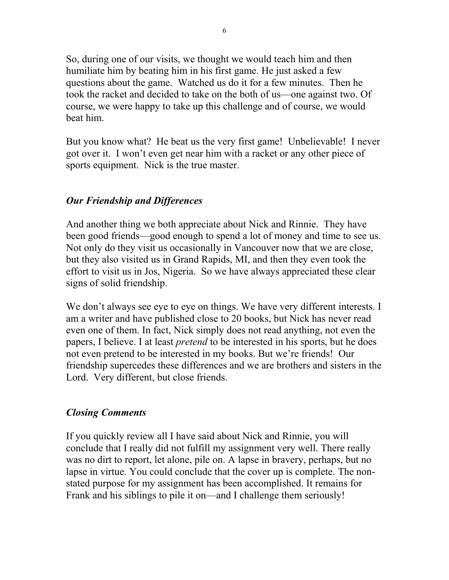So, during one of our visits, we thought we would teach him and then humiliate him by beating him in his first game. He just asked a few questions about the game. Watched us do it for a few minutes. Then he took the racket and decided to take on the both of us—one against two. Of course, we were happy to take up this challenge and of course, we would beat him.

But you know what? He beat us the very first game! Unbelievable! I never got over it. I won't even get near him with a racket or any other piece of sports equipment. Nick is the true master.

# *Our Friendship and Differences*

And another thing we both appreciate about Nick and Rinnie. They have been good friends—good enough to spend a lot of money and time to see us. Not only do they visit us occasionally in Vancouver now that we are close, but they also visited us in Grand Rapids, MI, and then they even took the effort to visit us in Jos, Nigeria. So we have always appreciated these clear signs of solid friendship.

We don't always see eye to eye on things. We have very different interests. I am a writer and have published close to 20 books, but Nick has never read even one of them. In fact, Nick simply does not read anything, not even the papers, I believe. I at least *pretend* to be interested in his sports, but he does not even pretend to be interested in my books. But we're friends! Our friendship supercedes these differences and we are brothers and sisters in the Lord. Very different, but close friends.

## *Closing Comments*

If you quickly review all I have said about Nick and Rinnie, you will conclude that I really did not fulfill my assignment very well. There really was no dirt to report, let alone, pile on. A lapse in bravery, perhaps, but no lapse in virtue. You could conclude that the cover up is complete. The nonstated purpose for my assignment has been accomplished. It remains for Frank and his siblings to pile it on—and I challenge them seriously!